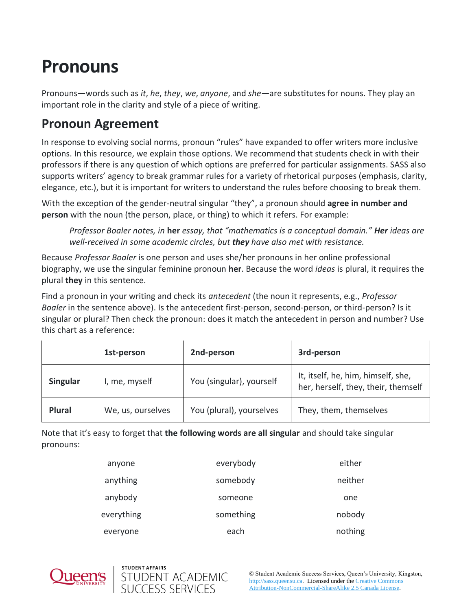# **Pronouns**

Pronouns—words such as *it*, *he*, *they*, *we*, *anyone*, and *she—*are substitutes for nouns. They play an important role in the clarity and style of a piece of writing.

#### **Pronoun Agreement**

In response to evolving social norms, pronoun "rules" have expanded to offer writers more inclusive options. In this resource, we explain those options. We recommend that students check in with their professors if there is any question of which options are preferred for particular assignments. SASS also supports writers' agency to break grammar rules for a variety of rhetorical purposes (emphasis, clarity, elegance, etc.), but it is important for writers to understand the rules before choosing to break them.

With the exception of the gender-neutral singular "they", a pronoun should **agree in number and person** with the noun (the person, place, or thing) to which it refers. For example:

*Professor Boaler notes, in* **her** *essay, that "mathematics is a conceptual domain." Her ideas are well-received in some academic circles, but they have also met with resistance.*

Because *Professor Boaler* is one person and uses she/her pronouns in her online professional biography, we use the singular feminine pronoun **her**. Because the word *ideas* is plural, it requires the plural **they** in this sentence.

Find a pronoun in your writing and check its *antecedent* (the noun it represents, e.g., *Professor Boaler* in the sentence above). Is the antecedent first-person, second-person, or third-person? Is it singular or plural? Then check the pronoun: does it match the antecedent in person and number? Use this chart as a reference:

|                 | 1st-person        | 2nd-person               | 3rd-person                                                                |
|-----------------|-------------------|--------------------------|---------------------------------------------------------------------------|
| <b>Singular</b> | I, me, myself     | You (singular), yourself | It, itself, he, him, himself, she,<br>her, herself, they, their, themself |
| <b>Plural</b>   | We, us, ourselves | You (plural), yourselves | They, them, themselves                                                    |

Note that it's easy to forget that **the following words are all singular** and should take singular pronouns:

| anyone     | everybody | either  |
|------------|-----------|---------|
| anything   | somebody  | neither |
| anybody    | someone   | one     |
| everything | something | nobody  |
| everyone   | each      | nothing |



STUDENT AFFAIRS

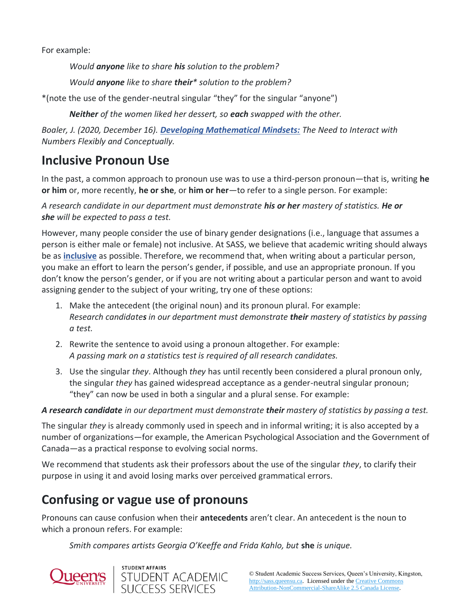For example:

*Would anyone like to share his solution to the problem?*

*Would anyone like to share their\* solution to the problem?*

\*(note the use of the gender-neutral singular "they" for the singular "anyone")

*Neither of the women liked her dessert, so each swapped with the other.*

*Boaler, J. (2020, December 16). [Developing Mathematical Mindsets:](https://files.eric.ed.gov/fulltext/EJ1200568.pdf) The Need to Interact with Numbers Flexibly and Conceptually.*

#### **Inclusive Pronoun Use**

In the past, a common approach to pronoun use was to use a third-person pronoun—that is, writing **he or him** or, more recently, **he or she**, or **him or her**—to refer to a single person. For example:

*A research candidate in our department must demonstrate his or her mastery of statistics. He or she will be expected to pass a test.*

However, many people consider the use of binary gender designations (i.e., language that assumes a person is either male or female) not inclusive. At SASS, we believe that academic writing should always be as **[inclusive](https://www.queensu.ca/styleguide/inclusivelanguage)** as possible. Therefore, we recommend that, when writing about a particular person, you make an effort to learn the person's gender, if possible, and use an appropriate pronoun. If you don't know the person's gender, or if you are not writing about a particular person and want to avoid assigning gender to the subject of your writing, try one of these options:

- 1. Make the antecedent (the original noun) and its pronoun plural. For example: *Research candidates in our department must demonstrate their mastery of statistics by passing a test.*
- 2. Rewrite the sentence to avoid using a pronoun altogether. For example: *A passing mark on a statistics test is required of all research candidates.*
- 3. Use the singular *they*. Although *they* has until recently been considered a plural pronoun only, the singular *they* has gained widespread acceptance as a gender-neutral singular pronoun; "they" can now be used in both a singular and a plural sense. For example:

*A research candidate in our department must demonstrate their mastery of statistics by passing a test.*

The singular *they* is already commonly used in speech and in informal writing; it is also accepted by a number of organizations—for example, the American Psychological Association and the Government of Canada—as a practical response to evolving social norms.

We recommend that students ask their professors about the use of the singular *they*, to clarify their purpose in using it and avoid losing marks over perceived grammatical errors.

### **Confusing or vague use of pronouns**

Pronouns can cause confusion when their **antecedents** aren't clear. An antecedent is the noun to which a pronoun refers. For example:

*Smith compares artists Georgia O'Keeffe and Frida Kahlo, but* **she** *is unique.*



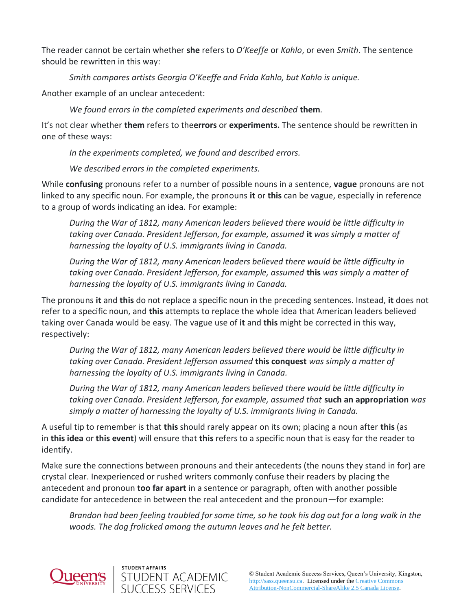The reader cannot be certain whether **she** refers to *O'Keeffe* or *Kahlo*, or even *Smith*. The sentence should be rewritten in this way:

*Smith compares artists Georgia O'Keeffe and Frida Kahlo, but Kahlo is unique.*

Another example of an unclear antecedent:

*We found errors in the completed experiments and described* **them***.*

It's not clear whether **them** refers to the**errors** or **experiments.** The sentence should be rewritten in one of these ways:

*In the experiments completed, we found and described errors.*

*We described errors in the completed experiments.*

While **confusing** pronouns refer to a number of possible nouns in a sentence, **vague** pronouns are not linked to any specific noun. For example, the pronouns **it** or **this** can be vague, especially in reference to a group of words indicating an idea. For example:

*During the War of 1812, many American leaders believed there would be little difficulty in taking over Canada. President Jefferson, for example, assumed* **it** *was simply a matter of harnessing the loyalty of U.S. immigrants living in Canada.*

*During the War of 1812, many American leaders believed there would be little difficulty in taking over Canada. President Jefferson, for example, assumed* **this** *was simply a matter of harnessing the loyalty of U.S. immigrants living in Canada.*

The pronouns **it** and **this** do not replace a specific noun in the preceding sentences. Instead, **it** does not refer to a specific noun, and **this** attempts to replace the whole idea that American leaders believed taking over Canada would be easy. The vague use of **it** and **this** might be corrected in this way, respectively:

*During the War of 1812, many American leaders believed there would be little difficulty in taking over Canada. President Jefferson assumed* **this conquest** *was simply a matter of harnessing the loyalty of U.S. immigrants living in Canada.*

*During the War of 1812, many American leaders believed there would be little difficulty in taking over Canada. President Jefferson, for example, assumed that* **such an appropriation** *was simply a matter of harnessing the loyalty of U.S. immigrants living in Canada.*

A useful tip to remember is that **this** should rarely appear on its own; placing a noun after **this** (as in **this idea** or **this event**) will ensure that **this** refers to a specific noun that is easy for the reader to identify.

Make sure the connections between pronouns and their antecedents (the nouns they stand in for) are crystal clear. Inexperienced or rushed writers commonly confuse their readers by placing the antecedent and pronoun **too far apart** in a sentence or paragraph, often with another possible candidate for antecedence in between the real antecedent and the pronoun—for example:

*Brandon had been feeling troubled for some time, so he took his dog out for a long walk in the woods. The dog frolicked among the autumn leaves and he felt better.*



STUDENT AFFAIRS

STUDENT ACADEMIC<br>SUCCESS SERVICES

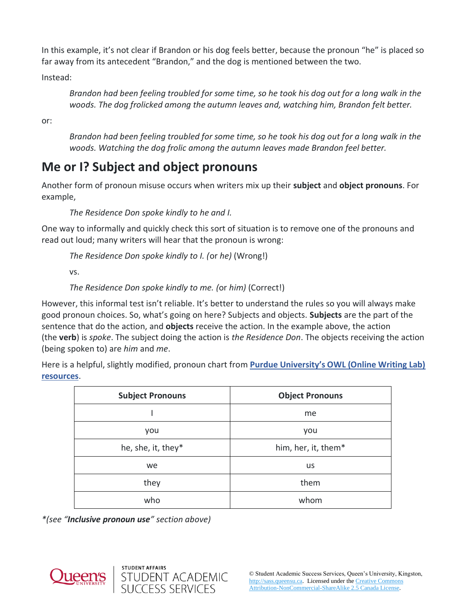In this example, it's not clear if Brandon or his dog feels better, because the pronoun "he" is placed so far away from its antecedent "Brandon," and the dog is mentioned between the two.

Instead:

*Brandon had been feeling troubled for some time, so he took his dog out for a long walk in the woods. The dog frolicked among the autumn leaves and, watching him, Brandon felt better.*

or:

*Brandon had been feeling troubled for some time, so he took his dog out for a long walk in the woods. Watching the dog frolic among the autumn leaves made Brandon feel better.*

## **Me or I? Subject and object pronouns**

Another form of pronoun misuse occurs when writers mix up their **subject** and **object pronouns**. For example,

*The Residence Don spoke kindly to he and I.*

One way to informally and quickly check this sort of situation is to remove one of the pronouns and read out loud; many writers will hear that the pronoun is wrong:

*The Residence Don spoke kindly to I. (*or *he)* (Wrong!)

vs.

*The Residence Don spoke kindly to me. (*or *him)* (Correct!)

However, this informal test isn't reliable. It's better to understand the rules so you will always make good pronoun choices. So, what's going on here? Subjects and objects. **Subjects** are the part of the sentence that do the action, and **objects** receive the action. In the example above, the action (the **verb**) is *spoke*. The subject doing the action is *the Residence Don*. The objects receiving the action (being spoken to) are *him* and *me*.

Here is a helpful, slightly modified, pronoun chart from **[Purdue University's OWL \(Online Writing Lab\)](https://owl.english.purdue.edu/owl/resource/595/02/)  [resources](https://owl.english.purdue.edu/owl/resource/595/02/)**.

| <b>Subject Pronouns</b> | <b>Object Pronouns</b> |
|-------------------------|------------------------|
|                         | me                     |
| you                     | you                    |
| he, she, it, they*      | him, her, it, them*    |
| we                      | us                     |
| they                    | them                   |
| who                     | whom                   |

*\*(see "Inclusive pronoun use" section above)*

STUDENT ACADEMIC<br>SUCCESS SERVICES